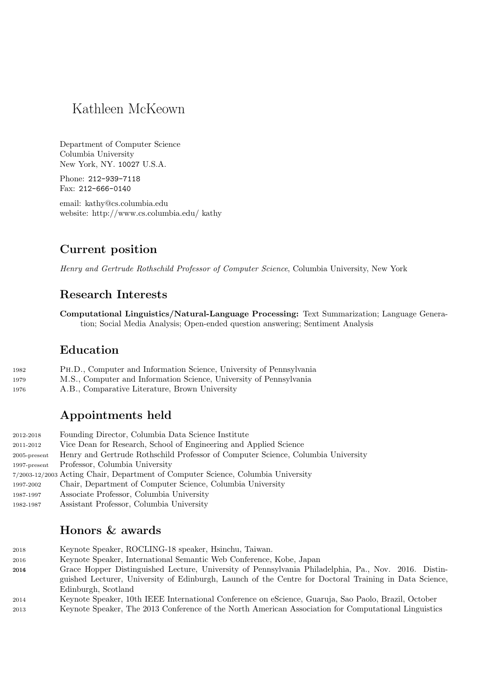# Kathleen McKeown

Department of Computer Science Columbia University New York, NY. 10027 U.S.A.

Phone: 212-939-7118 Fax: 212-666-0140

email: kathy@cs.columbia.edu website: http://www.cs.columbia.edu/ kathy

## Current position

Henry and Gertrude Rothschild Professor of Computer Science, Columbia University, New York

## Research Interests

Computational Linguistics/Natural-Language Processing: Text Summarization; Language Generation; Social Media Analysis; Open-ended question answering; Sentiment Analysis

## Education

| 1982 | PH.D., Computer and Information Science, University of Pennsylvania |
|------|---------------------------------------------------------------------|
| 1979 | M.S., Computer and Information Science, University of Pennsylvania  |
| 1976 | A.B., Comparative Literature, Brown University                      |

## Appointments held

| 2012-2018       | Founding Director, Columbia Data Science Institute                               |
|-----------------|----------------------------------------------------------------------------------|
| 2011-2012       | Vice Dean for Research, School of Engineering and Applied Science                |
| $2005$ -present | Henry and Gertrude Rothschild Professor of Computer Science, Columbia University |
| $1997$ -present | Professor, Columbia University                                                   |
|                 | 7/2003-12/2003 Acting Chair, Department of Computer Science, Columbia University |
| 1997-2002       | Chair, Department of Computer Science, Columbia University                       |
| 1987-1997       | Associate Professor, Columbia University                                         |
|                 |                                                                                  |

1982-1987 Assistant Professor, Columbia University

## Honors & awards

- <sup>2018</sup> Keynote Speaker, ROCLING-18 speaker, Hsinchu, Taiwan.
- <sup>2016</sup> Keynote Speaker, International Semantic Web Conference, Kobe, Japan
- <sup>20164</sup> Grace Hopper Distinguished Lecture, University of Pennsylvania Philadelphia, Pa., Nov. 2016. Distinguished Lecturer, University of Edinburgh, Launch of the Centre for Doctoral Training in Data Science, Edinburgh, Scotland
- <sup>2014</sup> Keynote Speaker, 10th IEEE International Conference on eScience, Guaruja, Sao Paolo, Brazil, October
- <sup>2013</sup> Keynote Speaker, The 2013 Conference of the North American Association for Computational Linguistics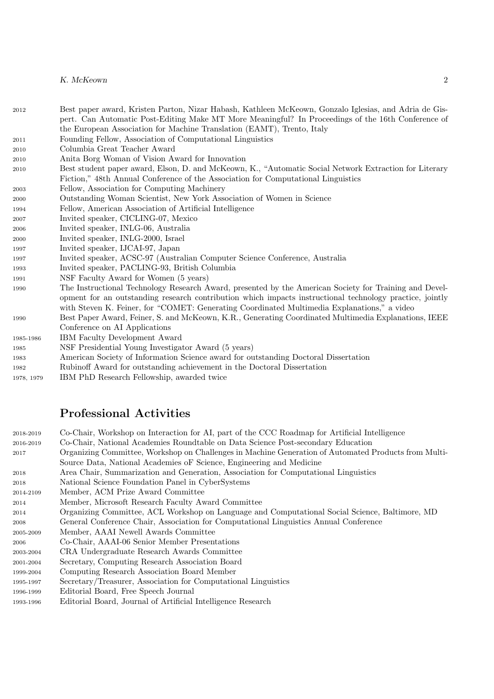- 2012 Best paper award, Kristen Parton, Nizar Habash, Kathleen McKeown, Gonzalo Iglesias, and Adria de Gispert. Can Automatic Post-Editing Make MT More Meaningful? In Proceedings of the 16th Conference of the European Association for Machine Translation (EAMT), Trento, Italy
- 2011 Founding Fellow, Association of Computational Linguistics
- 2010 Columbia Great Teacher Award
- 2010 Anita Borg Woman of Vision Award for Innovation
- 2010 Best student paper award, Elson, D. and McKeown, K., "Automatic Social Network Extraction for Literary Fiction," 48th Annual Conference of the Association for Computational Linguistics
- 2003 Fellow, Association for Computing Machinery
- 2000 Outstanding Woman Scientist, New York Association of Women in Science
- 1994 Fellow, American Association of Artificial Intelligence
- 2007 Invited speaker, CICLING-07, Mexico
- 2006 Invited speaker, INLG-06, Australia
- 2000 Invited speaker, INLG-2000, Israel
- 1997 Invited speaker, IJCAI-97, Japan
- 1997 Invited speaker, ACSC-97 (Australian Computer Science Conference, Australia
- 1993 Invited speaker, PACLING-93, British Columbia
- 1991 NSF Faculty Award for Women (5 years)
- 1990 The Instructional Technology Research Award, presented by the American Society for Training and Development for an outstanding research contribution which impacts instructional technology practice, jointly with Steven K. Feiner, for "COMET: Generating Coordinated Multimedia Explanations," a video
- 1990 Best Paper Award, Feiner, S. and McKeown, K.R., Generating Coordinated Multimedia Explanations, IEEE Conference on AI Applications
- 1985-1986 IBM Faculty Development Award
- 1985 NSF Presidential Young Investigator Award (5 years)
- 1983 American Society of Information Science award for outstanding Doctoral Dissertation
- 1982 Rubinoff Award for outstanding achievement in the Doctoral Dissertation
- 1978, 1979 IBM PhD Research Fellowship, awarded twice

## Professional Activities

| 2018-2019 | Co-Chair, Workshop on Interaction for AI, part of the CCC Roadmap for Artificial Intelligence        |
|-----------|------------------------------------------------------------------------------------------------------|
| 2016-2019 | Co-Chair, National Academies Roundtable on Data Science Post-secondary Education                     |
| 2017      | Organizing Committee, Workshop on Challenges in Machine Generation of Automated Products from Multi- |
|           | Source Data, National Academies of Science, Engineering and Medicine                                 |
| 2018      | Area Chair, Summarization and Generation, Association for Computational Linguistics                  |
| 2018      | National Science Foundation Panel in CyberSystems                                                    |
| 2014-2109 | Member, ACM Prize Award Committee                                                                    |
| 2014      | Member, Microsoft Research Faculty Award Committee                                                   |
| 2014      | Organizing Committee, ACL Workshop on Language and Computational Social Science, Baltimore, MD       |
| 2008      | General Conference Chair, Association for Computational Linguistics Annual Conference                |
| 2005-2009 | Member, AAAI Newell Awards Committee                                                                 |
| 2006      | Co-Chair, AAAI-06 Senior Member Presentations                                                        |
| 2003-2004 | CRA Undergraduate Research Awards Committee                                                          |
| 2001-2004 | Secretary, Computing Research Association Board                                                      |
| 1999-2004 | Computing Research Association Board Member                                                          |
| 1995-1997 | Secretary/Treasurer, Association for Computational Linguistics                                       |
| 1996-1999 | Editorial Board, Free Speech Journal                                                                 |
| 1993-1996 | Editorial Board, Journal of Artificial Intelligence Research                                         |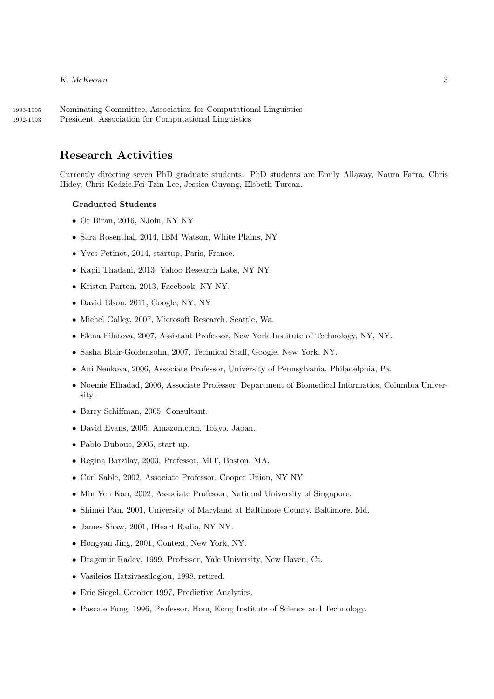1993-1995 Nominating Committee, Association for Computational Linguistics 1992-1993 President, Association for Computational Linguistics

## Research Activities

Currently directing seven PhD graduate students. PhD students are Emily Allaway, Noura Farra, Chris Hidey, Chris Kedzie,Fei-Tzin Lee, Jessica Ouyang, Elsbeth Turcan.

## Graduated Students

- Or Biran, 2016, NJoin, NY NY
- Sara Rosenthal, 2014, IBM Watson, White Plains, NY
- Yves Petinot, 2014, startup, Paris, France.
- Kapil Thadani, 2013, Yahoo Research Labs, NY NY.
- Kristen Parton, 2013, Facebook, NY NY.
- David Elson, 2011, Google, NY, NY
- Michel Galley, 2007, Microsoft Research, Seattle, Wa.
- Elena Filatova, 2007, Assistant Professor, New York Institute of Technology, NY, NY.
- Sasha Blair-Goldensohn, 2007, Technical Staff, Google, New York, NY.
- Ani Nenkova, 2006, Associate Professor, University of Pennsylvania, Philadelphia, Pa.
- Noemie Elhadad, 2006, Associate Professor, Department of Biomedical Informatics, Columbia University.
- Barry Schiffman, 2005, Consultant.
- David Evans, 2005, Amazon.com, Tokyo, Japan.
- Pablo Duboue, 2005, start-up.
- Regina Barzilay, 2003, Professor, MIT, Boston, MA.
- Carl Sable, 2002, Associate Professor, Cooper Union, NY NY
- Min Yen Kan, 2002, Associate Professor, National University of Singapore.
- Shimei Pan, 2001, University of Maryland at Baltimore County, Baltimore, Md.
- James Shaw, 2001, IHeart Radio, NY NY.
- Hongyan Jing, 2001, Context, New York, NY.
- Dragomir Radev, 1999, Professor, Yale University, New Haven, Ct.
- Vasileios Hatzivassiloglou, 1998, retired.
- Eric Siegel, October 1997, Predictive Analytics.
- Pascale Fung, 1996, Professor, Hong Kong Institute of Science and Technology.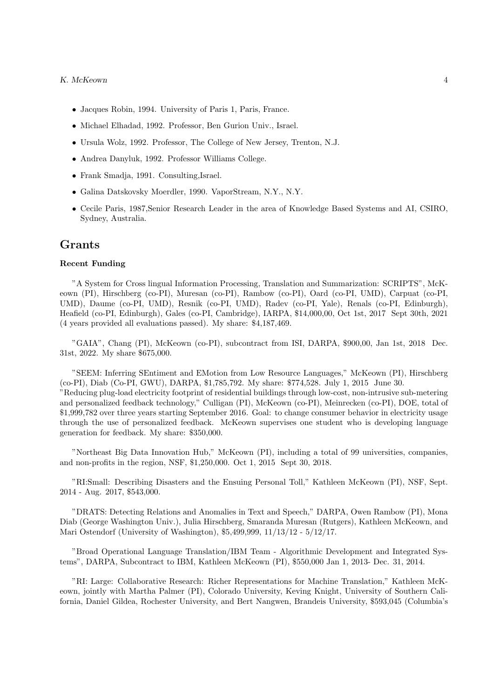- Jacques Robin, 1994. University of Paris 1, Paris, France.
- Michael Elhadad, 1992. Professor, Ben Gurion Univ., Israel.
- Ursula Wolz, 1992. Professor, The College of New Jersey, Trenton, N.J.
- Andrea Danyluk, 1992. Professor Williams College.
- Frank Smadja, 1991. Consulting,Israel.
- Galina Datskovsky Moerdler, 1990. VaporStream, N.Y., N.Y.
- Cecile Paris, 1987,Senior Research Leader in the area of Knowledge Based Systems and AI, CSIRO, Sydney, Australia.

## Grants

## Recent Funding

"A System for Cross lingual Information Processing, Translation and Summarization: SCRIPTS", McKeown (PI), Hirschberg (co-PI), Muresan (co-PI), Rambow (co-PI), Oard (co-PI, UMD), Carpuat (co-PI, UMD), Daume (co-PI, UMD), Resnik (co-PI, UMD), Radev (co-PI, Yale), Renals (co-PI, Edinburgh), Heafield (co-PI, Edinburgh), Gales (co-PI, Cambridge), IARPA, \$14,000,00, Oct 1st, 2017 Sept 30th, 2021 (4 years provided all evaluations passed). My share: \$4,187,469.

"GAIA", Chang (PI), McKeown (co-PI), subcontract from ISI, DARPA, \$900,00, Jan 1st, 2018 Dec. 31st, 2022. My share \$675,000.

"SEEM: Inferring SEntiment and EMotion from Low Resource Languages," McKeown (PI), Hirschberg (co-PI), Diab (Co-PI, GWU), DARPA, \$1,785,792. My share: \$774,528. July 1, 2015 June 30. "Reducing plug-load electricity footprint of residential buildings through low-cost, non-intrusive sub-metering and personalized feedback technology," Culligan (PI), McKeown (co-PI), Meinrecken (co-PI), DOE, total of \$1,999,782 over three years starting September 2016. Goal: to change consumer behavior in electricity usage through the use of personalized feedback. McKeown supervises one student who is developing language generation for feedback. My share: \$350,000.

"Northeast Big Data Innovation Hub," McKeown (PI), including a total of 99 universities, companies, and non-profits in the region, NSF, \$1,250,000. Oct 1, 2015 Sept 30, 2018.

"RI:Small: Describing Disasters and the Ensuing Personal Toll," Kathleen McKeown (PI), NSF, Sept. 2014 - Aug. 2017, \$543,000.

"DRATS: Detecting Relations and Anomalies in Text and Speech," DARPA, Owen Rambow (PI), Mona Diab (George Washington Univ.), Julia Hirschberg, Smaranda Muresan (Rutgers), Kathleen McKeown, and Mari Ostendorf (University of Washington), \$5,499,999, 11/13/12 - 5/12/17.

"Broad Operational Language Translation/IBM Team - Algorithmic Development and Integrated Systems", DARPA, Subcontract to IBM, Kathleen McKeown (PI), \$550,000 Jan 1, 2013- Dec. 31, 2014.

"RI: Large: Collaborative Research: Richer Representations for Machine Translation," Kathleen McKeown, jointly with Martha Palmer (PI), Colorado University, Keving Knight, University of Southern California, Daniel Gildea, Rochester University, and Bert Nangwen, Brandeis University, \$593,045 (Columbia's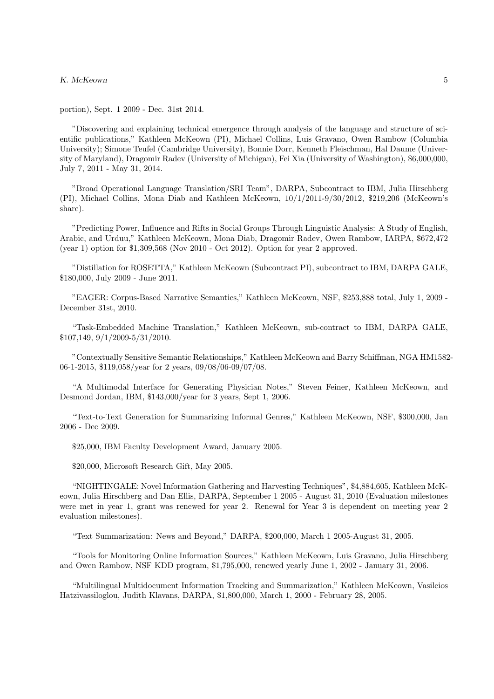portion), Sept. 1 2009 - Dec. 31st 2014.

"Discovering and explaining technical emergence through analysis of the language and structure of scientific publications," Kathleen McKeown (PI), Michael Collins, Luis Gravano, Owen Rambow (Columbia University); Simone Teufel (Cambridge University), Bonnie Dorr, Kenneth Fleischman, Hal Daume (University of Maryland), Dragomir Radev (University of Michigan), Fei Xia (University of Washington), \$6,000,000, July 7, 2011 - May 31, 2014.

"Broad Operational Language Translation/SRI Team", DARPA, Subcontract to IBM, Julia Hirschberg (PI), Michael Collins, Mona Diab and Kathleen McKeown, 10/1/2011-9/30/2012, \$219,206 (McKeown's share).

"Predicting Power, Influence and Rifts in Social Groups Through Linguistic Analysis: A Study of English, Arabic, and Urduu," Kathleen McKeown, Mona Diab, Dragomir Radev, Owen Rambow, IARPA, \$672,472 (year 1) option for \$1,309,568 (Nov 2010 - Oct 2012). Option for year 2 approved.

"Distillation for ROSETTA," Kathleen McKeown (Subcontract PI), subcontract to IBM, DARPA GALE, \$180,000, July 2009 - June 2011.

"EAGER: Corpus-Based Narrative Semantics," Kathleen McKeown, NSF, \$253,888 total, July 1, 2009 - December 31st, 2010.

"Task-Embedded Machine Translation," Kathleen McKeown, sub-contract to IBM, DARPA GALE, \$107,149, 9/1/2009-5/31/2010.

"Contextually Sensitive Semantic Relationships," Kathleen McKeown and Barry Schiffman, NGA HM1582- 06-1-2015, \$119,058/year for 2 years, 09/08/06-09/07/08.

"A Multimodal Interface for Generating Physician Notes," Steven Feiner, Kathleen McKeown, and Desmond Jordan, IBM, \$143,000/year for 3 years, Sept 1, 2006.

"Text-to-Text Generation for Summarizing Informal Genres," Kathleen McKeown, NSF, \$300,000, Jan 2006 - Dec 2009.

\$25,000, IBM Faculty Development Award, January 2005.

\$20,000, Microsoft Research Gift, May 2005.

"NIGHTINGALE: Novel Information Gathering and Harvesting Techniques", \$4,884,605, Kathleen McKeown, Julia Hirschberg and Dan Ellis, DARPA, September 1 2005 - August 31, 2010 (Evaluation milestones were met in year 1, grant was renewed for year 2. Renewal for Year 3 is dependent on meeting year 2 evaluation milestones).

"Text Summarization: News and Beyond," DARPA, \$200,000, March 1 2005-August 31, 2005.

"Tools for Monitoring Online Information Sources," Kathleen McKeown, Luis Gravano, Julia Hirschberg and Owen Rambow, NSF KDD program, \$1,795,000, renewed yearly June 1, 2002 - January 31, 2006.

"Multilingual Multidocument Information Tracking and Summarization," Kathleen McKeown, Vasileios Hatzivassiloglou, Judith Klavans, DARPA, \$1,800,000, March 1, 2000 - February 28, 2005.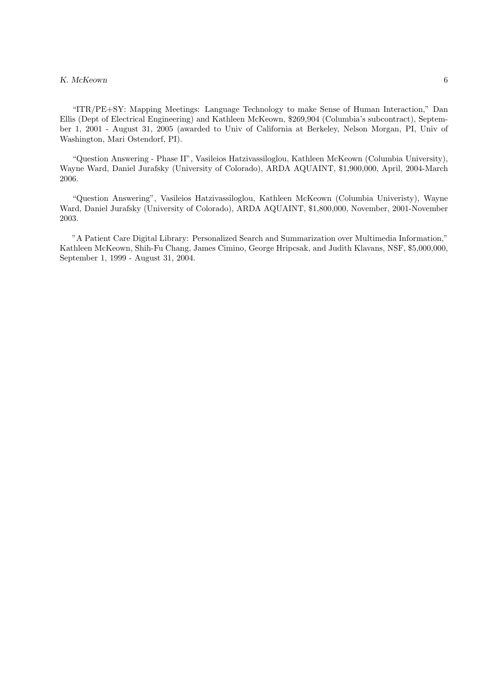"ITR/PE+SY: Mapping Meetings: Language Technology to make Sense of Human Interaction," Dan Ellis (Dept of Electrical Engineering) and Kathleen McKeown, \$269,904 (Columbia's subcontract), September 1, 2001 - August 31, 2005 (awarded to Univ of California at Berkeley, Nelson Morgan, PI, Univ of Washington, Mari Ostendorf, PI).

"Question Answering - Phase II", Vasileios Hatzivassiloglou, Kathleen McKeown (Columbia University), Wayne Ward, Daniel Jurafsky (University of Colorado), ARDA AQUAINT, \$1,900,000, April, 2004-March 2006.

"Question Answering", Vasileios Hatzivassiloglou, Kathleen McKeown (Columbia Univeristy), Wayne Ward, Daniel Jurafsky (University of Colorado), ARDA AQUAINT, \$1,800,000, November, 2001-November 2003.

"A Patient Care Digital Library: Personalized Search and Summarization over Multimedia Information," Kathleen McKeown, Shih-Fu Chang, James Cimino, George Hripcsak, and Judith Klavans, NSF, \$5,000,000, September 1, 1999 - August 31, 2004.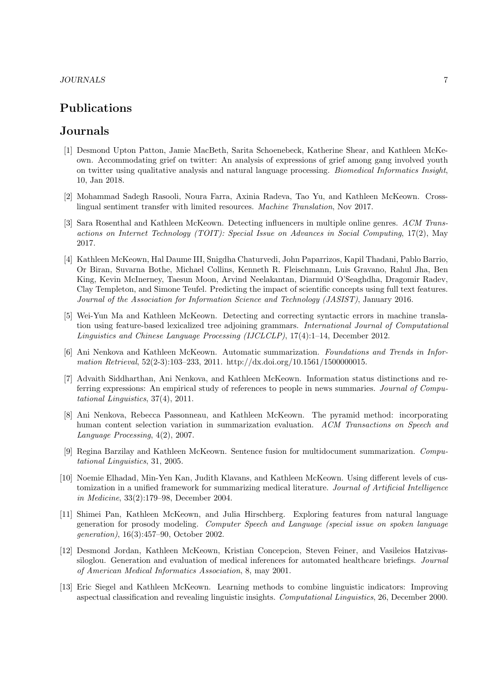## Publications

## Journals

- [1] Desmond Upton Patton, Jamie MacBeth, Sarita Schoenebeck, Katherine Shear, and Kathleen McKeown. Accommodating grief on twitter: An analysis of expressions of grief among gang involved youth on twitter using qualitative analysis and natural language processing. Biomedical Informatics Insight, 10, Jan 2018.
- [2] Mohammad Sadegh Rasooli, Noura Farra, Axinia Radeva, Tao Yu, and Kathleen McKeown. Crosslingual sentiment transfer with limited resources. Machine Translation, Nov 2017.
- [3] Sara Rosenthal and Kathleen McKeown. Detecting influencers in multiple online genres. ACM Transactions on Internet Technology (TOIT): Special Issue on Advances in Social Computing, 17(2), May 2017.
- [4] Kathleen McKeown, Hal Daume III, Snigdha Chaturvedi, John Paparrizos, Kapil Thadani, Pablo Barrio, Or Biran, Suvarna Bothe, Michael Collins, Kenneth R. Fleischmann, Luis Gravano, Rahul Jha, Ben King, Kevin McInerney, Taesun Moon, Arvind Neelakantan, Diarmuid O'Seaghdha, Dragomir Radev, Clay Templeton, and Simone Teufel. Predicting the impact of scientific concepts using full text features. Journal of the Association for Information Science and Technology (JASIST), January 2016.
- [5] Wei-Yun Ma and Kathleen McKeown. Detecting and correcting syntactic errors in machine translation using feature-based lexicalized tree adjoining grammars. International Journal of Computational Linguistics and Chinese Language Processing (IJCLCLP), 17(4):1–14, December 2012.
- [6] Ani Nenkova and Kathleen McKeown. Automatic summarization. Foundations and Trends in Information Retrieval, 52(2-3):103–233, 2011. http://dx.doi.org/10.1561/1500000015.
- [7] Advaith Siddharthan, Ani Nenkova, and Kathleen McKeown. Information status distinctions and referring expressions: An empirical study of references to people in news summaries. Journal of Computational Linguistics, 37(4), 2011.
- [8] Ani Nenkova, Rebecca Passonneau, and Kathleen McKeown. The pyramid method: incorporating human content selection variation in summarization evaluation. ACM Transactions on Speech and Language Processing, 4(2), 2007.
- [9] Regina Barzilay and Kathleen McKeown. Sentence fusion for multidocument summarization. Computational Linguistics, 31, 2005.
- [10] Noemie Elhadad, Min-Yen Kan, Judith Klavans, and Kathleen McKeown. Using different levels of customization in a unified framework for summarizing medical literature. Journal of Artificial Intelligence in Medicine, 33(2):179–98, December 2004.
- [11] Shimei Pan, Kathleen McKeown, and Julia Hirschberg. Exploring features from natural language generation for prosody modeling. Computer Speech and Language (special issue on spoken language generation), 16(3):457–90, October 2002.
- [12] Desmond Jordan, Kathleen McKeown, Kristian Concepcion, Steven Feiner, and Vasileios Hatzivassiloglou. Generation and evaluation of medical inferences for automated healthcare briefings. Journal of American Medical Informatics Association, 8, may 2001.
- [13] Eric Siegel and Kathleen McKeown. Learning methods to combine linguistic indicators: Improving aspectual classification and revealing linguistic insights. Computational Linguistics, 26, December 2000.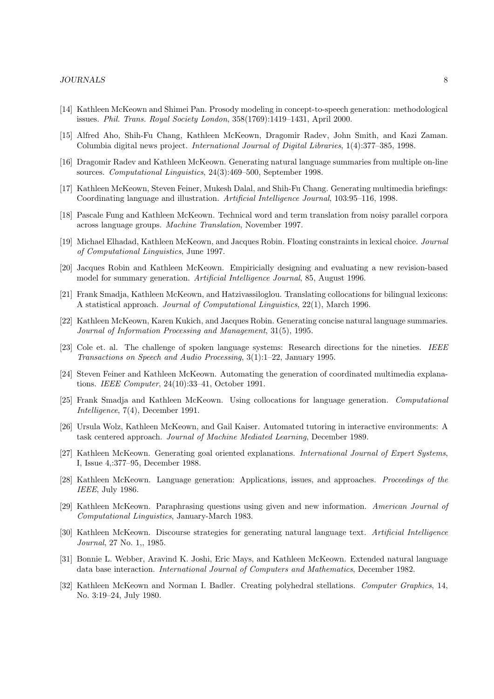- [14] Kathleen McKeown and Shimei Pan. Prosody modeling in concept-to-speech generation: methodological issues. Phil. Trans. Royal Society London, 358(1769):1419–1431, April 2000.
- [15] Alfred Aho, Shih-Fu Chang, Kathleen McKeown, Dragomir Radev, John Smith, and Kazi Zaman. Columbia digital news project. International Journal of Digital Libraries, 1(4):377–385, 1998.
- [16] Dragomir Radev and Kathleen McKeown. Generating natural language summaries from multiple on-line sources. Computational Linguistics, 24(3):469–500, September 1998.
- [17] Kathleen McKeown, Steven Feiner, Mukesh Dalal, and Shih-Fu Chang. Generating multimedia briefings: Coordinating language and illustration. Artificial Intelligence Journal, 103:95–116, 1998.
- [18] Pascale Fung and Kathleen McKeown. Technical word and term translation from noisy parallel corpora across language groups. Machine Translation, November 1997.
- [19] Michael Elhadad, Kathleen McKeown, and Jacques Robin. Floating constraints in lexical choice. Journal of Computational Linguistics, June 1997.
- [20] Jacques Robin and Kathleen McKeown. Empiricially designing and evaluating a new revision-based model for summary generation. Artificial Intelligence Journal, 85, August 1996.
- [21] Frank Smadja, Kathleen McKeown, and Hatzivassiloglou. Translating collocations for bilingual lexicons: A statistical approach. Journal of Computational Linguistics, 22(1), March 1996.
- [22] Kathleen McKeown, Karen Kukich, and Jacques Robin. Generating concise natural language summaries. Journal of Information Processing and Management, 31(5), 1995.
- [23] Cole et. al. The challenge of spoken language systems: Research directions for the nineties. IEEE Transactions on Speech and Audio Processing, 3(1):1–22, January 1995.
- [24] Steven Feiner and Kathleen McKeown. Automating the generation of coordinated multimedia explanations. IEEE Computer, 24(10):33–41, October 1991.
- [25] Frank Smadja and Kathleen McKeown. Using collocations for language generation. Computational Intelligence, 7(4), December 1991.
- [26] Ursula Wolz, Kathleen McKeown, and Gail Kaiser. Automated tutoring in interactive environments: A task centered approach. Journal of Machine Mediated Learning, December 1989.
- [27] Kathleen McKeown. Generating goal oriented explanations. International Journal of Expert Systems, I, Issue 4,:377–95, December 1988.
- [28] Kathleen McKeown. Language generation: Applications, issues, and approaches. Proceedings of the IEEE, July 1986.
- [29] Kathleen McKeown. Paraphrasing questions using given and new information. American Journal of Computational Linguistics, January-March 1983.
- [30] Kathleen McKeown. Discourse strategies for generating natural language text. Artificial Intelligence Journal, 27 No. 1,, 1985.
- [31] Bonnie L. Webber, Aravind K. Joshi, Eric Mays, and Kathleen McKeown. Extended natural language data base interaction. International Journal of Computers and Mathematics, December 1982.
- [32] Kathleen McKeown and Norman I. Badler. Creating polyhedral stellations. Computer Graphics, 14, No. 3:19–24, July 1980.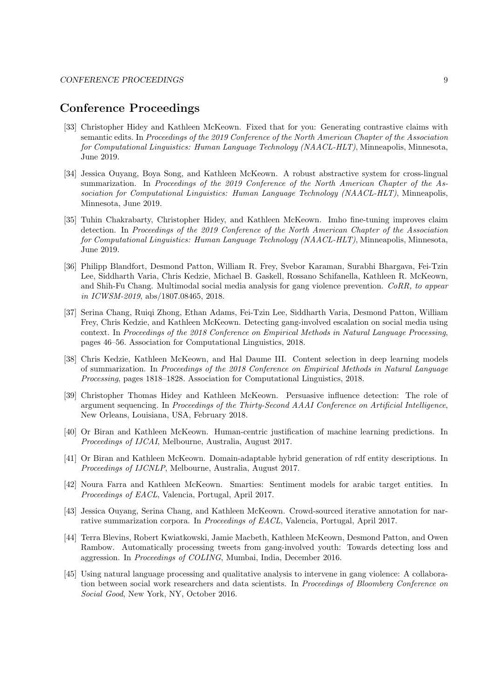## Conference Proceedings

- [33] Christopher Hidey and Kathleen McKeown. Fixed that for you: Generating contrastive claims with semantic edits. In Proceedings of the 2019 Conference of the North American Chapter of the Association for Computational Linguistics: Human Language Technology (NAACL-HLT), Minneapolis, Minnesota, June 2019.
- [34] Jessica Ouyang, Boya Song, and Kathleen McKeown. A robust abstractive system for cross-lingual summarization. In Proceedings of the 2019 Conference of the North American Chapter of the Association for Computational Linguistics: Human Language Technology (NAACL-HLT), Minneapolis, Minnesota, June 2019.
- [35] Tuhin Chakrabarty, Christopher Hidey, and Kathleen McKeown. Imho fine-tuning improves claim detection. In Proceedings of the 2019 Conference of the North American Chapter of the Association for Computational Linguistics: Human Language Technology (NAACL-HLT), Minneapolis, Minnesota, June 2019.
- [36] Philipp Blandfort, Desmond Patton, William R. Frey, Svebor Karaman, Surabhi Bhargava, Fei-Tzin Lee, Siddharth Varia, Chris Kedzie, Michael B. Gaskell, Rossano Schifanella, Kathleen R. McKeown, and Shih-Fu Chang. Multimodal social media analysis for gang violence prevention. CoRR, to appear in ICWSM-2019, abs/1807.08465, 2018.
- [37] Serina Chang, Ruiqi Zhong, Ethan Adams, Fei-Tzin Lee, Siddharth Varia, Desmond Patton, William Frey, Chris Kedzie, and Kathleen McKeown. Detecting gang-involved escalation on social media using context. In Proceedings of the 2018 Conference on Empirical Methods in Natural Language Processing, pages 46–56. Association for Computational Linguistics, 2018.
- [38] Chris Kedzie, Kathleen McKeown, and Hal Daume III. Content selection in deep learning models of summarization. In Proceedings of the 2018 Conference on Empirical Methods in Natural Language Processing, pages 1818–1828. Association for Computational Linguistics, 2018.
- [39] Christopher Thomas Hidey and Kathleen McKeown. Persuasive influence detection: The role of argument sequencing. In Proceedings of the Thirty-Second AAAI Conference on Artificial Intelligence, New Orleans, Louisiana, USA, February 2018.
- [40] Or Biran and Kathleen McKeown. Human-centric justification of machine learning predictions. In Proceedings of IJCAI, Melbourne, Australia, August 2017.
- [41] Or Biran and Kathleen McKeown. Domain-adaptable hybrid generation of rdf entity descriptions. In Proceedings of IJCNLP, Melbourne, Australia, August 2017.
- [42] Noura Farra and Kathleen McKeown. Smarties: Sentiment models for arabic target entities. In Proceedings of EACL, Valencia, Portugal, April 2017.
- [43] Jessica Ouyang, Serina Chang, and Kathleen McKeown. Crowd-sourced iterative annotation for narrative summarization corpora. In *Proceedings of EACL*, Valencia, Portugal, April 2017.
- [44] Terra Blevins, Robert Kwiatkowski, Jamie Macbeth, Kathleen McKeown, Desmond Patton, and Owen Rambow. Automatically processing tweets from gang-involved youth: Towards detecting loss and aggression. In Proceedings of COLING, Mumbai, India, December 2016.
- [45] Using natural language processing and qualitative analysis to intervene in gang violence: A collaboration between social work researchers and data scientists. In Proceedings of Bloomberg Conference on Social Good, New York, NY, October 2016.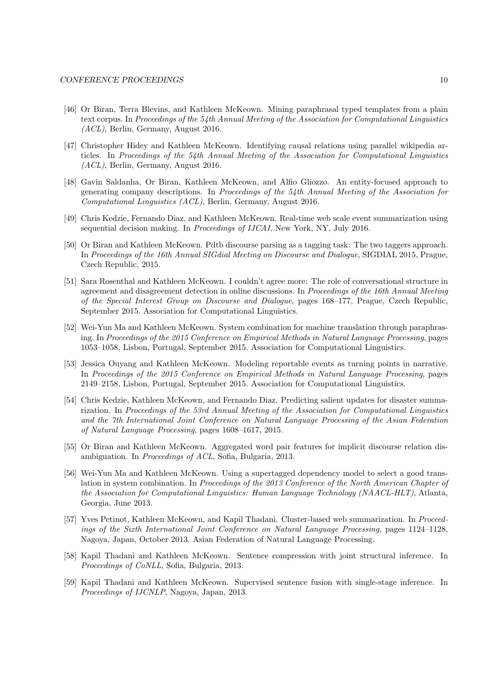- [46] Or Biran, Terra Blevins, and Kathleen McKeown. Mining paraphrasal typed templates from a plain text corpus. In Proceedings of the 54th Annual Meeting of the Association for Computational Linguistics (ACL), Berlin, Germany, August 2016.
- [47] Christopher Hidey and Kathleen McKeown. Identifying causal relations using parallel wikipedia articles. In Proceedings of the 54th Annual Meeting of the Association for Computational Linguistics (ACL), Berlin, Germany, August 2016.
- [48] Gavin Saldanha, Or Biran, Kathleen McKeown, and Alfio Gliozzo. An entity-focused approach to generating company descriptions. In Proceedings of the 54th Annual Meeting of the Association for Computational Linguistics (ACL), Berlin, Germany, August 2016.
- [49] Chris Kedzie, Fernando Diaz, and Kathleen McKeown. Real-time web scale event summarization using sequential decision making. In Proceedings of IJCAI, New York, NY, July 2016.
- [50] Or Biran and Kathleen McKeown. Pdtb discourse parsing as a tagging task: The two taggers approach. In Proceedings of the 16th Annual SIGdial Meeting on Discourse and Dialogue, SIGDIAL 2015, Prague, Czech Republic, 2015.
- [51] Sara Rosenthal and Kathleen McKeown. I couldn't agree more: The role of conversational structure in agreement and disagreement detection in online discussions. In Proceedings of the 16th Annual Meeting of the Special Interest Group on Discourse and Dialogue, pages 168–177, Prague, Czech Republic, September 2015. Association for Computational Linguistics.
- [52] Wei-Yun Ma and Kathleen McKeown. System combination for machine translation through paraphrasing. In Proceedings of the 2015 Conference on Empirical Methods in Natural Language Processing, pages 1053–1058, Lisbon, Portugal, September 2015. Association for Computational Linguistics.
- [53] Jessica Ouyang and Kathleen McKeown. Modeling reportable events as turning points in narrative. In Proceedings of the 2015 Conference on Empirical Methods in Natural Language Processing, pages 2149–2158, Lisbon, Portugal, September 2015. Association for Computational Linguistics.
- [54] Chris Kedzie, Kathleen McKeown, and Fernando Diaz. Predicting salient updates for disaster summarization. In Proceedings of the 53rd Annual Meeting of the Association for Computational Linguistics and the 7th International Joint Conference on Natural Language Processing of the Asian Federation of Natural Language Processing, pages 1608–1617, 2015.
- [55] Or Biran and Kathleen McKeown. Aggregated word pair features for implicit discourse relation disambiguation. In Proceedings of ACL, Sofia, Bulgaria, 2013.
- [56] Wei-Yun Ma and Kathleen McKeown. Using a supertagged dependency model to select a good translation in system combination. In Proceedings of the 2013 Conference of the North American Chapter of the Association for Computational Linguistics: Human Language Technology (NAACL-HLT), Atlanta, Georgia, June 2013.
- [57] Yves Petinot, Kathleen McKeown, and Kapil Thadani. Cluster-based web summarization. In Proceedings of the Sixth International Joint Conference on Natural Language Processing, pages 1124–1128, Nagoya, Japan, October 2013. Asian Federation of Natural Language Processing.
- [58] Kapil Thadani and Kathleen McKeown. Sentence compression with joint structural inference. In Proceedings of CoNLL, Sofia, Bulgaria, 2013.
- [59] Kapil Thadani and Kathleen McKeown. Supervised sentence fusion with single-stage inference. In Proceedings of IJCNLP, Nagoya, Japan, 2013.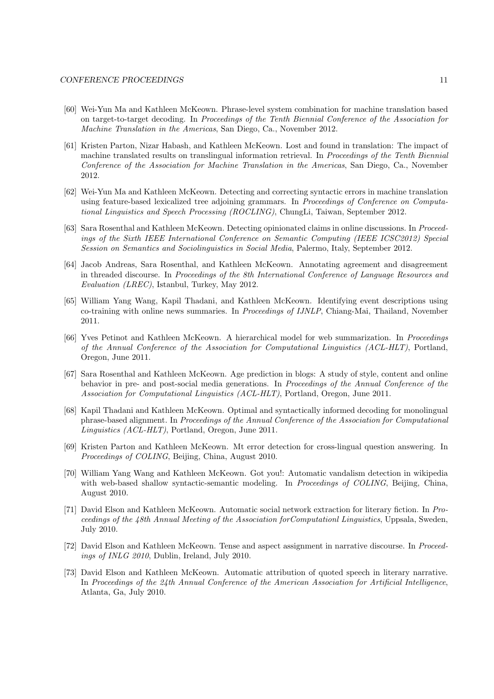- [60] Wei-Yun Ma and Kathleen McKeown. Phrase-level system combination for machine translation based on target-to-target decoding. In Proceedings of the Tenth Biennial Conference of the Association for Machine Translation in the Americas, San Diego, Ca., November 2012.
- [61] Kristen Parton, Nizar Habash, and Kathleen McKeown. Lost and found in translation: The impact of machine translated results on translingual information retrieval. In *Proceedings of the Tenth Biennial* Conference of the Association for Machine Translation in the Americas, San Diego, Ca., November 2012.
- [62] Wei-Yun Ma and Kathleen McKeown. Detecting and correcting syntactic errors in machine translation using feature-based lexicalized tree adjoining grammars. In Proceedings of Conference on Computational Linguistics and Speech Processing (ROCLING), ChungLi, Taiwan, September 2012.
- [63] Sara Rosenthal and Kathleen McKeown. Detecting opinionated claims in online discussions. In Proceedings of the Sixth IEEE International Conference on Semantic Computing (IEEE ICSC2012) Special Session on Semantics and Sociolinguistics in Social Media, Palermo, Italy, September 2012.
- [64] Jacob Andreas, Sara Rosenthal, and Kathleen McKeown. Annotating agreement and disagreement in threaded discourse. In Proceedings of the 8th International Conference of Language Resources and Evaluation (LREC), Istanbul, Turkey, May 2012.
- [65] William Yang Wang, Kapil Thadani, and Kathleen McKeown. Identifying event descriptions using co-training with online news summaries. In Proceedings of IJNLP, Chiang-Mai, Thailand, November 2011.
- [66] Yves Petinot and Kathleen McKeown. A hierarchical model for web summarization. In Proceedings of the Annual Conference of the Association for Computational Linguistics (ACL-HLT), Portland, Oregon, June 2011.
- [67] Sara Rosenthal and Kathleen McKeown. Age prediction in blogs: A study of style, content and online behavior in pre- and post-social media generations. In Proceedings of the Annual Conference of the Association for Computational Linguistics (ACL-HLT), Portland, Oregon, June 2011.
- [68] Kapil Thadani and Kathleen McKeown. Optimal and syntactically informed decoding for monolingual phrase-based alignment. In Proceedings of the Annual Conference of the Association for Computational Linguistics (ACL-HLT), Portland, Oregon, June 2011.
- [69] Kristen Parton and Kathleen McKeown. Mt error detection for cross-lingual question answering. In Proceedings of COLING, Beijing, China, August 2010.
- [70] William Yang Wang and Kathleen McKeown. Got you!: Automatic vandalism detection in wikipedia with web-based shallow syntactic-semantic modeling. In *Proceedings of COLING*, Beijing, China, August 2010.
- [71] David Elson and Kathleen McKeown. Automatic social network extraction for literary fiction. In Proceedings of the 48th Annual Meeting of the Association forComputationl Linguistics, Uppsala, Sweden, July 2010.
- [72] David Elson and Kathleen McKeown. Tense and aspect assignment in narrative discourse. In Proceedings of INLG 2010, Dublin, Ireland, July 2010.
- [73] David Elson and Kathleen McKeown. Automatic attribution of quoted speech in literary narrative. In Proceedings of the 24th Annual Conference of the American Association for Artificial Intelligence, Atlanta, Ga, July 2010.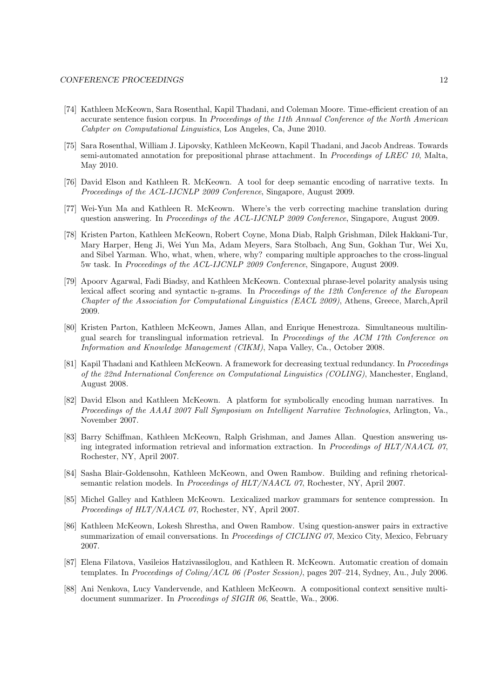- [74] Kathleen McKeown, Sara Rosenthal, Kapil Thadani, and Coleman Moore. Time-efficient creation of an accurate sentence fusion corpus. In Proceedings of the 11th Annual Conference of the North American Cahpter on Computational Linguistics, Los Angeles, Ca, June 2010.
- [75] Sara Rosenthal, William J. Lipovsky, Kathleen McKeown, Kapil Thadani, and Jacob Andreas. Towards semi-automated annotation for prepositional phrase attachment. In Proceedings of LREC 10, Malta, May 2010.
- [76] David Elson and Kathleen R. McKeown. A tool for deep semantic encoding of narrative texts. In Proceedings of the ACL-IJCNLP 2009 Conference, Singapore, August 2009.
- [77] Wei-Yun Ma and Kathleen R. McKeown. Where's the verb correcting machine translation during question answering. In Proceedings of the ACL-IJCNLP 2009 Conference, Singapore, August 2009.
- [78] Kristen Parton, Kathleen McKeown, Robert Coyne, Mona Diab, Ralph Grishman, Dilek Hakkani-Tur, Mary Harper, Heng Ji, Wei Yun Ma, Adam Meyers, Sara Stolbach, Ang Sun, Gokhan Tur, Wei Xu, and Sibel Yarman. Who, what, when, where, why? comparing multiple approaches to the cross-lingual 5w task. In Proceedings of the ACL-IJCNLP 2009 Conference, Singapore, August 2009.
- [79] Apoorv Agarwal, Fadi Biadsy, and Kathleen McKeown. Contexual phrase-level polarity analysis using lexical affect scoring and syntactic n-grams. In Proceedings of the 12th Conference of the European Chapter of the Association for Computational Linguistics (EACL 2009), Athens, Greece, March,April 2009.
- [80] Kristen Parton, Kathleen McKeown, James Allan, and Enrique Henestroza. Simultaneous multilingual search for translingual information retrieval. In Proceedings of the ACM 17th Conference on Information and Knowledge Management (CIKM), Napa Valley, Ca., October 2008.
- [81] Kapil Thadani and Kathleen McKeown. A framework for decreasing textual redundancy. In Proceedings of the 22nd International Conference on Computational Linguistics (COLING), Manchester, England, August 2008.
- [82] David Elson and Kathleen McKeown. A platform for symbolically encoding human narratives. In Proceedings of the AAAI 2007 Fall Symposium on Intelligent Narrative Technologies, Arlington, Va., November 2007.
- [83] Barry Schiffman, Kathleen McKeown, Ralph Grishman, and James Allan. Question answering using integrated information retrieval and information extraction. In Proceedings of HLT/NAACL 07, Rochester, NY, April 2007.
- [84] Sasha Blair-Goldensohn, Kathleen McKeown, and Owen Rambow. Building and refining rhetoricalsemantic relation models. In Proceedings of HLT/NAACL 07, Rochester, NY, April 2007.
- [85] Michel Galley and Kathleen McKeown. Lexicalized markov grammars for sentence compression. In Proceedings of HLT/NAACL 07, Rochester, NY, April 2007.
- [86] Kathleen McKeown, Lokesh Shrestha, and Owen Rambow. Using question-answer pairs in extractive summarization of email conversations. In Proceedings of CICLING 07, Mexico City, Mexico, February 2007.
- [87] Elena Filatova, Vasileios Hatzivassiloglou, and Kathleen R. McKeown. Automatic creation of domain templates. In Proceedings of Coling/ACL 06 (Poster Session), pages 207–214, Sydney, Au., July 2006.
- [88] Ani Nenkova, Lucy Vandervende, and Kathleen McKeown. A compositional context sensitive multidocument summarizer. In *Proceedings of SIGIR 06*, Seattle, Wa., 2006.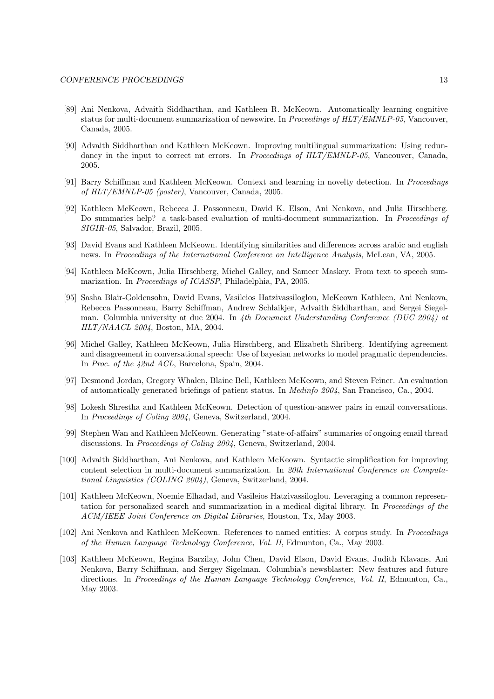- [89] Ani Nenkova, Advaith Siddharthan, and Kathleen R. McKeown. Automatically learning cognitive status for multi-document summarization of newswire. In Proceedings of HLT/EMNLP-05, Vancouver, Canada, 2005.
- [90] Advaith Siddharthan and Kathleen McKeown. Improving multilingual summarization: Using redundancy in the input to correct mt errors. In Proceedings of HLT/EMNLP-05, Vancouver, Canada, 2005.
- [91] Barry Schiffman and Kathleen McKeown. Context and learning in novelty detection. In Proceedings of HLT/EMNLP-05 (poster), Vancouver, Canada, 2005.
- [92] Kathleen McKeown, Rebecca J. Passonneau, David K. Elson, Ani Nenkova, and Julia Hirschberg. Do summaries help? a task-based evaluation of multi-document summarization. In Proceedings of SIGIR-05, Salvador, Brazil, 2005.
- [93] David Evans and Kathleen McKeown. Identifying similarities and differences across arabic and english news. In Proceedings of the International Conference on Intelligence Analysis, McLean, VA, 2005.
- [94] Kathleen McKeown, Julia Hirschberg, Michel Galley, and Sameer Maskey. From text to speech summarization. In Proceedings of ICASSP, Philadelphia, PA, 2005.
- [95] Sasha Blair-Goldensohn, David Evans, Vasileios Hatzivassiloglou, McKeown Kathleen, Ani Nenkova, Rebecca Passonneau, Barry Schiffman, Andrew Schlaikjer, Advaith Siddharthan, and Sergei Siegelman. Columbia university at duc 2004. In 4th Document Understanding Conference (DUC 2004) at HLT/NAACL 2004, Boston, MA, 2004.
- [96] Michel Galley, Kathleen McKeown, Julia Hirschberg, and Elizabeth Shriberg. Identifying agreement and disagreement in conversational speech: Use of bayesian networks to model pragmatic dependencies. In Proc. of the 42nd ACL, Barcelona, Spain, 2004.
- [97] Desmond Jordan, Gregory Whalen, Blaine Bell, Kathleen McKeown, and Steven Feiner. An evaluation of automatically generated briefings of patient status. In Medinfo 2004, San Francisco, Ca., 2004.
- [98] Lokesh Shrestha and Kathleen McKeown. Detection of question-answer pairs in email conversations. In Proceedings of Coling 2004, Geneva, Switzerland, 2004.
- [99] Stephen Wan and Kathleen McKeown. Generating "state-of-affairs" summaries of ongoing email thread discussions. In Proceedings of Coling 2004, Geneva, Switzerland, 2004.
- [100] Advaith Siddharthan, Ani Nenkova, and Kathleen McKeown. Syntactic simplification for improving content selection in multi-document summarization. In 20th International Conference on Computational Linguistics (COLING 2004), Geneva, Switzerland, 2004.
- [101] Kathleen McKeown, Noemie Elhadad, and Vasileios Hatzivassiloglou. Leveraging a common representation for personalized search and summarization in a medical digital library. In Proceedings of the ACM/IEEE Joint Conference on Digital Libraries, Houston, Tx, May 2003.
- [102] Ani Nenkova and Kathleen McKeown. References to named entities: A corpus study. In Proceedings of the Human Language Technology Conference, Vol. II, Edmunton, Ca., May 2003.
- [103] Kathleen McKeown, Regina Barzilay, John Chen, David Elson, David Evans, Judith Klavans, Ani Nenkova, Barry Schiffman, and Sergey Sigelman. Columbia's newsblaster: New features and future directions. In Proceedings of the Human Language Technology Conference, Vol. II, Edmunton, Ca., May 2003.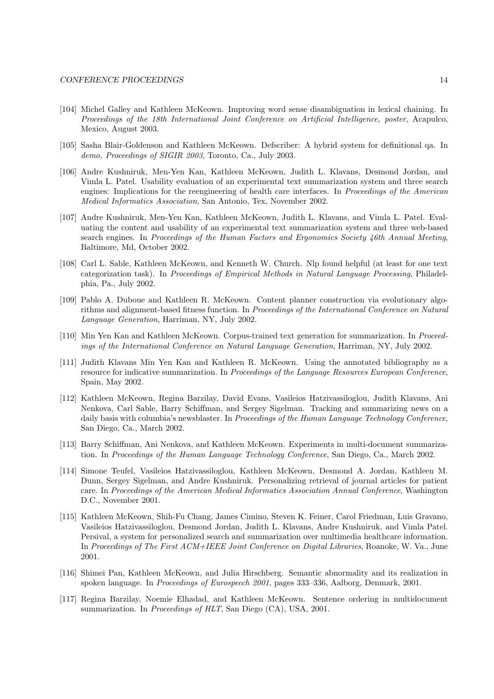- [104] Michel Galley and Kathleen McKeown. Improving word sense disambiguation in lexical chaining. In Proceedings of the 18th International Joint Conference on Artificial Intelligence, poster, Acapulco, Mexico, August 2003.
- [105] Sasha Blair-Goldenson and Kathleen McKeown. Defscriber: A hybrid system for definitional qa. In demo, Proceedings of SIGIR 2003, Toronto, Ca., July 2003.
- [106] Andre Kushniruk, Men-Yen Kan, Kathleen McKeown, Judith L. Klavans, Desmond Jordan, and Vimla L. Patel. Usability evaluation of an experimental text summarization system and three search engines: Implications for the reengineering of health care interfaces. In Proceedings of the American Medical Informatics Association, San Antonio, Tex, November 2002.
- [107] Andre Kushniruk, Men-Yen Kan, Kathleen McKeown, Judith L. Klavans, and Vimla L. Patel. Evaluating the content and usability of an experimental text summarization system and three web-based search engines. In Proceedings of the Human Factors and Ergonomics Society 46th Annual Meeting, Baltimore, Md, October 2002.
- [108] Carl L. Sable, Kathleen McKeown, and Kenneth W. Church. Nlp found helpful (at least for one text categorization task). In Proceedings of Empirical Methods in Natural Language Processing, Philadelphia, Pa., July 2002.
- [109] Pablo A. Duboue and Kathleen R. McKeown. Content planner construction via evolutionary algorithms and alignment-based fitness function. In Proceedings of the International Conference on Natural Language Generation, Harriman, NY, July 2002.
- [110] Min Yen Kan and Kathleen McKeown. Corpus-trained text generation for summarization. In Proceedings of the International Conference on Natural Language Generation, Harriman, NY, July 2002.
- [111] Judith Klavans Min Yen Kan and Kathleen R. McKeown. Using the annotated bibliography as a resource for indicative summarization. In Proceedings of the Language Resources European Conference, Spain, May 2002.
- [112] Kathleen McKeown, Regina Barzilay, David Evans, Vasileios Hatzivassiloglou, Judith Klavans, Ani Nenkova, Carl Sable, Barry Schiffman, and Sergey Sigelman. Tracking and summarizing news on a daily basis with columbia's newsblaster. In *Proceedings of the Human Language Technology Conference*, San Diego, Ca., March 2002.
- [113] Barry Schiffman, Ani Nenkova, and Kathleen McKeown. Experiments in multi-document summarization. In Proceedings of the Human Language Technology Conference, San Diego, Ca., March 2002.
- [114] Simone Teufel, Vasileios Hatzivassiloglou, Kathleen McKeown, Desmond A. Jordan, Kathleen M. Dunn, Sergey Sigelman, and Andre Kushniruk. Personalizing retrieval of journal articles for patient care. In Proceedings of the American Medical Informatics Association Annual Conference, Washington D.C., November 2001.
- [115] Kathleen McKeown, Shih-Fu Chang, James Cimino, Steven K. Feiner, Carol Friedman, Luis Gravano, Vasileios Hatzivassiloglou, Desmond Jordan, Judith L. Klavans, Andre Kushniruk, and Vimla Patel. Persival, a system for personalized search and summarization over multimedia healthcare information. In Proceedings of The First ACM+IEEE Joint Conference on Digital Libraries, Roanoke, W. Va., June 2001.
- [116] Shimei Pan, Kathleen McKeown, and Julia Hirschberg. Semantic abnormality and its realization in spoken language. In Proceedings of Eurospeech 2001, pages 333–336, Aalborg, Denmark, 2001.
- [117] Regina Barzilay, Noemie Elhadad, and Kathleen McKeown. Sentence ordering in multidocument summarization. In *Proceedings of HLT*, San Diego (CA), USA, 2001.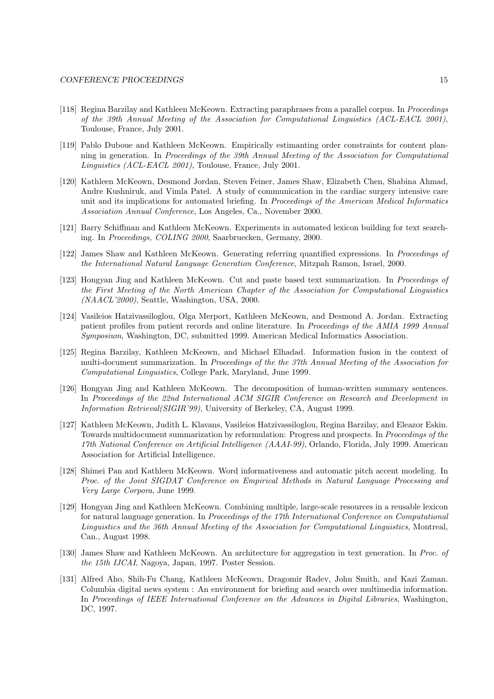- [118] Regina Barzilay and Kathleen McKeown. Extracting paraphrases from a parallel corpus. In Proceedings of the 39th Annual Meeting of the Association for Computational Linguistics (ACL-EACL 2001), Toulouse, France, July 2001.
- [119] Pablo Duboue and Kathleen McKeown. Empirically estimanting order constraints for content planning in generation. In Proceedings of the 39th Annual Meeting of the Association for Computational Linguistics (ACL-EACL 2001), Toulouse, France, July 2001.
- [120] Kathleen McKeown, Desmond Jordan, Steven Feiner, James Shaw, Elizabeth Chen, Shabina Ahmad, Andre Kushniruk, and Vimla Patel. A study of communication in the cardiac surgery intensive care unit and its implications for automated briefing. In Proceedings of the American Medical Informatics Association Annual Conference, Los Angeles, Ca., November 2000.
- [121] Barry Schiffman and Kathleen McKeown. Experiments in automated lexicon building for text searching. In Proceedings, COLING 2000, Saarbruecken, Germany, 2000.
- [122] James Shaw and Kathleen McKeown. Generating referring quantified expressions. In Proceedings of the International Natural Language Generation Conference, Mitzpah Ramon, Israel, 2000.
- [123] Hongyan Jing and Kathleen McKeown. Cut and paste based text summarization. In Proceedings of the First Meeting of the North American Chapter of the Association for Computational Linguistics (NAACL'2000), Seattle, Washington, USA, 2000.
- [124] Vasileios Hatzivassiloglou, Olga Merport, Kathleen McKeown, and Desmond A. Jordan. Extracting patient profiles from patient records and online literature. In Proceedings of the AMIA 1999 Annual Symposium, Washington, DC, submitted 1999. American Medical Informatics Association.
- [125] Regina Barzilay, Kathleen McKeown, and Michael Elhadad. Information fusion in the context of multi-document summarization. In Proceedings of the the 37th Annual Meeting of the Association for Computational Linguistics, College Park, Maryland, June 1999.
- [126] Hongyan Jing and Kathleen McKeown. The decomposition of human-written summary sentences. In Proceedings of the 22nd International ACM SIGIR Conference on Research and Development in Information Retrieval(SIGIR'99), University of Berkeley, CA, August 1999.
- [127] Kathleen McKeown, Judith L. Klavans, Vasileios Hatzivassiloglou, Regina Barzilay, and Eleazor Eskin. Towards multidocument summarization by reformulation: Progress and prospects. In Proceedings of the 17th National Conference on Artificial Intelligence (AAAI-99), Orlando, Florida, July 1999. American Association for Artificial Intelligence.
- [128] Shimei Pan and Kathleen McKeown. Word informativeness and automatic pitch accent modeling. In Proc. of the Joint SIGDAT Conference on Empirical Methods in Natural Language Processing and Very Large Corpora, June 1999.
- [129] Hongyan Jing and Kathleen McKeown. Combining multiple, large-scale resources in a reusable lexicon for natural language generation. In Proceedings of the 17th International Conference on Computational Linguistics and the 36th Annual Meeting of the Association for Computational Linguistics, Montreal, Can., August 1998.
- [130] James Shaw and Kathleen McKeown. An architecture for aggregation in text generation. In Proc. of the 15th IJCAI, Nagoya, Japan, 1997. Poster Session.
- [131] Alfred Aho, Shih-Fu Chang, Kathleen McKeown, Dragomir Radev, John Smith, and Kazi Zaman. Columbia digital news system : An environment for briefing and search over multimedia information. In Proceedings of IEEE International Conference on the Advances in Digital Libraries, Washington, DC, 1997.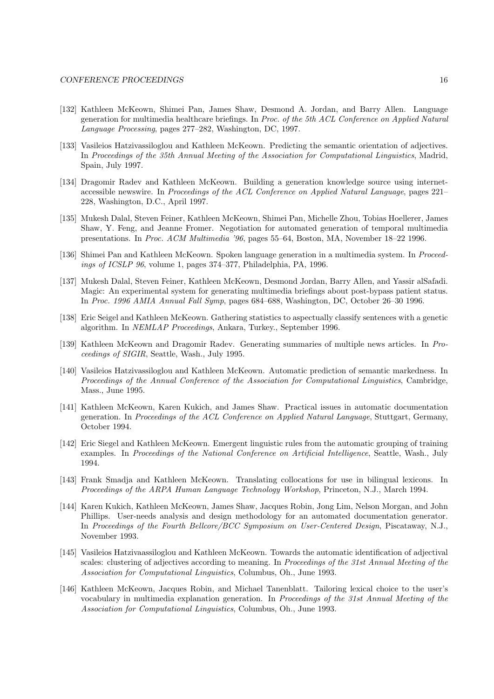- [132] Kathleen McKeown, Shimei Pan, James Shaw, Desmond A. Jordan, and Barry Allen. Language generation for multimedia healthcare briefings. In Proc. of the 5th ACL Conference on Applied Natural Language Processing, pages 277–282, Washington, DC, 1997.
- [133] Vasileios Hatzivassiloglou and Kathleen McKeown. Predicting the semantic orientation of adjectives. In Proceedings of the 35th Annual Meeting of the Association for Computational Linguistics, Madrid, Spain, July 1997.
- [134] Dragomir Radev and Kathleen McKeown. Building a generation knowledge source using internetaccessible newswire. In Proceedings of the ACL Conference on Applied Natural Language, pages 221– 228, Washington, D.C., April 1997.
- [135] Mukesh Dalal, Steven Feiner, Kathleen McKeown, Shimei Pan, Michelle Zhou, Tobias Hoellerer, James Shaw, Y. Feng, and Jeanne Fromer. Negotiation for automated generation of temporal multimedia presentations. In Proc. ACM Multimedia '96, pages 55–64, Boston, MA, November 18–22 1996.
- [136] Shimei Pan and Kathleen McKeown. Spoken language generation in a multimedia system. In Proceedings of ICSLP 96, volume 1, pages 374–377, Philadelphia, PA, 1996.
- [137] Mukesh Dalal, Steven Feiner, Kathleen McKeown, Desmond Jordan, Barry Allen, and Yassir alSafadi. Magic: An experimental system for generating multimedia briefings about post-bypass patient status. In Proc. 1996 AMIA Annual Fall Symp, pages 684–688, Washington, DC, October 26–30 1996.
- [138] Eric Seigel and Kathleen McKeown. Gathering statistics to aspectually classify sentences with a genetic algorithm. In NEMLAP Proceedings, Ankara, Turkey., September 1996.
- [139] Kathleen McKeown and Dragomir Radev. Generating summaries of multiple news articles. In Proceedings of SIGIR, Seattle, Wash., July 1995.
- [140] Vasileios Hatzivassiloglou and Kathleen McKeown. Automatic prediction of semantic markedness. In Proceedings of the Annual Conference of the Association for Computational Linguistics, Cambridge, Mass., June 1995.
- [141] Kathleen McKeown, Karen Kukich, and James Shaw. Practical issues in automatic documentation generation. In Proceedings of the ACL Conference on Applied Natural Language, Stuttgart, Germany, October 1994.
- [142] Eric Siegel and Kathleen McKeown. Emergent linguistic rules from the automatic grouping of training examples. In Proceedings of the National Conference on Artificial Intelligence, Seattle, Wash., July 1994.
- [143] Frank Smadja and Kathleen McKeown. Translating collocations for use in bilingual lexicons. In Proceedings of the ARPA Human Language Technology Workshop, Princeton, N.J., March 1994.
- [144] Karen Kukich, Kathleen McKeown, James Shaw, Jacques Robin, Jong Lim, Nelson Morgan, and John Phillips. User-needs analysis and design methodology for an automated documentation generator. In Proceedings of the Fourth Bellcore/BCC Symposium on User-Centered Design, Piscataway, N.J., November 1993.
- [145] Vasileios Hatzivaassiloglou and Kathleen McKeown. Towards the automatic identification of adjectival scales: clustering of adjectives according to meaning. In Proceedings of the 31st Annual Meeting of the Association for Computational Linguistics, Columbus, Oh., June 1993.
- [146] Kathleen McKeown, Jacques Robin, and Michael Tanenblatt. Tailoring lexical choice to the user's vocabulary in multimedia explanation generation. In Proceedings of the 31st Annual Meeting of the Association for Computational Linguistics, Columbus, Oh., June 1993.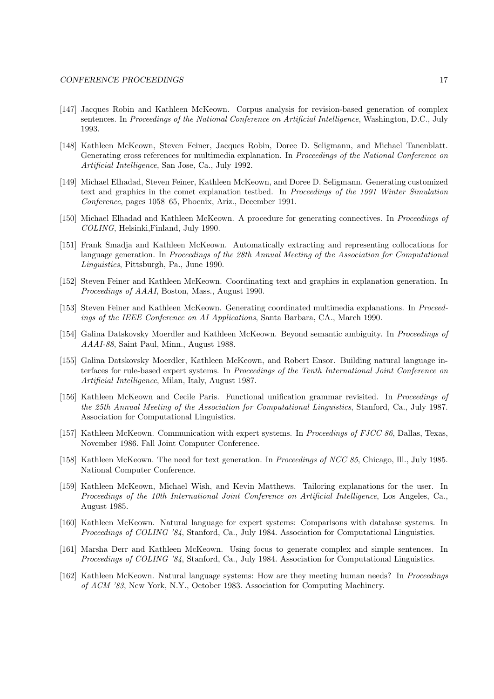- [147] Jacques Robin and Kathleen McKeown. Corpus analysis for revision-based generation of complex sentences. In Proceedings of the National Conference on Artificial Intelligence, Washington, D.C., July 1993.
- [148] Kathleen McKeown, Steven Feiner, Jacques Robin, Doree D. Seligmann, and Michael Tanenblatt. Generating cross references for multimedia explanation. In *Proceedings of the National Conference on* Artificial Intelligence, San Jose, Ca., July 1992.
- [149] Michael Elhadad, Steven Feiner, Kathleen McKeown, and Doree D. Seligmann. Generating customized text and graphics in the comet explanation testbed. In Proceedings of the 1991 Winter Simulation Conference, pages 1058–65, Phoenix, Ariz., December 1991.
- [150] Michael Elhadad and Kathleen McKeown. A procedure for generating connectives. In Proceedings of COLING, Helsinki,Finland, July 1990.
- [151] Frank Smadja and Kathleen McKeown. Automatically extracting and representing collocations for language generation. In Proceedings of the 28th Annual Meeting of the Association for Computational Linguistics, Pittsburgh, Pa., June 1990.
- [152] Steven Feiner and Kathleen McKeown. Coordinating text and graphics in explanation generation. In Proceedings of AAAI, Boston, Mass., August 1990.
- [153] Steven Feiner and Kathleen McKeown. Generating coordinated multimedia explanations. In Proceedings of the IEEE Conference on AI Applications, Santa Barbara, CA., March 1990.
- [154] Galina Datskovsky Moerdler and Kathleen McKeown. Beyond semantic ambiguity. In Proceedings of AAAI-88, Saint Paul, Minn., August 1988.
- [155] Galina Datskovsky Moerdler, Kathleen McKeown, and Robert Ensor. Building natural language interfaces for rule-based expert systems. In Proceedings of the Tenth International Joint Conference on Artificial Intelligence, Milan, Italy, August 1987.
- [156] Kathleen McKeown and Cecile Paris. Functional unification grammar revisited. In Proceedings of the 25th Annual Meeting of the Association for Computational Linguistics, Stanford, Ca., July 1987. Association for Computational Linguistics.
- [157] Kathleen McKeown. Communication with expert systems. In *Proceedings of FJCC 86*, Dallas, Texas, November 1986. Fall Joint Computer Conference.
- [158] Kathleen McKeown. The need for text generation. In Proceedings of NCC 85, Chicago, Ill., July 1985. National Computer Conference.
- [159] Kathleen McKeown, Michael Wish, and Kevin Matthews. Tailoring explanations for the user. In Proceedings of the 10th International Joint Conference on Artificial Intelligence, Los Angeles, Ca., August 1985.
- [160] Kathleen McKeown. Natural language for expert systems: Comparisons with database systems. In Proceedings of COLING '84, Stanford, Ca., July 1984. Association for Computational Linguistics.
- [161] Marsha Derr and Kathleen McKeown. Using focus to generate complex and simple sentences. In Proceedings of COLING '84, Stanford, Ca., July 1984. Association for Computational Linguistics.
- [162] Kathleen McKeown. Natural language systems: How are they meeting human needs? In Proceedings of ACM '83, New York, N.Y., October 1983. Association for Computing Machinery.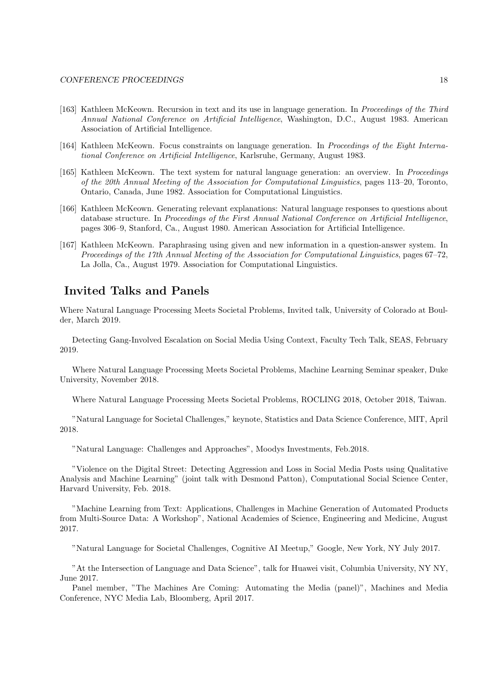- [163] Kathleen McKeown. Recursion in text and its use in language generation. In Proceedings of the Third Annual National Conference on Artificial Intelligence, Washington, D.C., August 1983. American Association of Artificial Intelligence.
- [164] Kathleen McKeown. Focus constraints on language generation. In Proceedings of the Eight International Conference on Artificial Intelligence, Karlsruhe, Germany, August 1983.
- [165] Kathleen McKeown. The text system for natural language generation: an overview. In Proceedings of the 20th Annual Meeting of the Association for Computational Linguistics, pages 113–20, Toronto, Ontario, Canada, June 1982. Association for Computational Linguistics.
- [166] Kathleen McKeown. Generating relevant explanations: Natural language responses to questions about database structure. In Proceedings of the First Annual National Conference on Artificial Intelligence, pages 306–9, Stanford, Ca., August 1980. American Association for Artificial Intelligence.
- [167] Kathleen McKeown. Paraphrasing using given and new information in a question-answer system. In Proceedings of the 17th Annual Meeting of the Association for Computational Linguistics, pages 67–72, La Jolla, Ca., August 1979. Association for Computational Linguistics.

## Invited Talks and Panels

Where Natural Language Processing Meets Societal Problems, Invited talk, University of Colorado at Boulder, March 2019.

Detecting Gang-Involved Escalation on Social Media Using Context, Faculty Tech Talk, SEAS, February 2019.

Where Natural Language Processing Meets Societal Problems, Machine Learning Seminar speaker, Duke University, November 2018.

Where Natural Language Processing Meets Societal Problems, ROCLING 2018, October 2018, Taiwan.

"Natural Language for Societal Challenges," keynote, Statistics and Data Science Conference, MIT, April 2018.

"Natural Language: Challenges and Approaches", Moodys Investments, Feb.2018.

"Violence on the Digital Street: Detecting Aggression and Loss in Social Media Posts using Qualitative Analysis and Machine Learning" (joint talk with Desmond Patton), Computational Social Science Center, Harvard University, Feb. 2018.

"Machine Learning from Text: Applications, Challenges in Machine Generation of Automated Products from Multi-Source Data: A Workshop", National Academies of Science, Engineering and Medicine, August 2017.

"Natural Language for Societal Challenges, Cognitive AI Meetup," Google, New York, NY July 2017.

"At the Intersection of Language and Data Science", talk for Huawei visit, Columbia University, NY NY, June 2017.

Panel member, "The Machines Are Coming: Automating the Media (panel)", Machines and Media Conference, NYC Media Lab, Bloomberg, April 2017.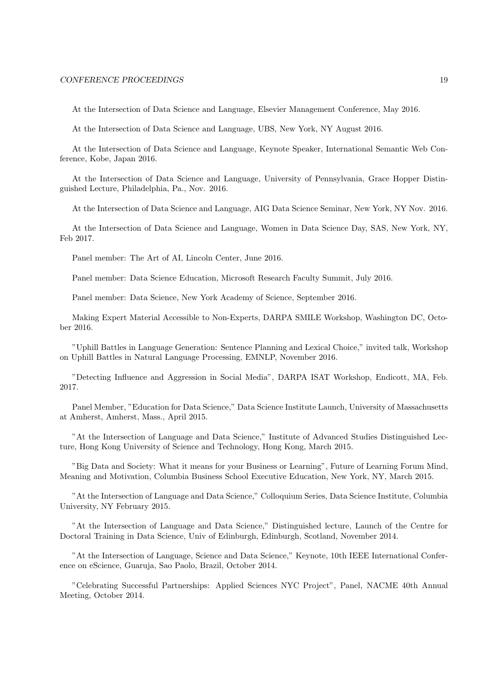At the Intersection of Data Science and Language, Elsevier Management Conference, May 2016.

At the Intersection of Data Science and Language, UBS, New York, NY August 2016.

At the Intersection of Data Science and Language, Keynote Speaker, International Semantic Web Conference, Kobe, Japan 2016.

At the Intersection of Data Science and Language, University of Pennsylvania, Grace Hopper Distinguished Lecture, Philadelphia, Pa., Nov. 2016.

At the Intersection of Data Science and Language, AIG Data Science Seminar, New York, NY Nov. 2016.

At the Intersection of Data Science and Language, Women in Data Science Day, SAS, New York, NY, Feb 2017.

Panel member: The Art of AI, Lincoln Center, June 2016.

Panel member: Data Science Education, Microsoft Research Faculty Summit, July 2016.

Panel member: Data Science, New York Academy of Science, September 2016.

Making Expert Material Accessible to Non-Experts, DARPA SMILE Workshop, Washington DC, October 2016.

"Uphill Battles in Language Generation: Sentence Planning and Lexical Choice," invited talk, Workshop on Uphill Battles in Natural Language Processing, EMNLP, November 2016.

"Detecting Influence and Aggression in Social Media", DARPA ISAT Workshop, Endicott, MA, Feb. 2017.

Panel Member, "Education for Data Science," Data Science Institute Launch, University of Massachusetts at Amherst, Amherst, Mass., April 2015.

"At the Intersection of Language and Data Science," Institute of Advanced Studies Distinguished Lecture, Hong Kong University of Science and Technology, Hong Kong, March 2015.

"Big Data and Society: What it means for your Business or Learning", Future of Learning Forum Mind, Meaning and Motivation, Columbia Business School Executive Education, New York, NY, March 2015.

"At the Intersection of Language and Data Science," Colloquium Series, Data Science Institute, Columbia University, NY February 2015.

"At the Intersection of Language and Data Science," Distinguished lecture, Launch of the Centre for Doctoral Training in Data Science, Univ of Edinburgh, Edinburgh, Scotland, November 2014.

"At the Intersection of Language, Science and Data Science," Keynote, 10th IEEE International Conference on eScience, Guaruja, Sao Paolo, Brazil, October 2014.

"Celebrating Successful Partnerships: Applied Sciences NYC Project", Panel, NACME 40th Annual Meeting, October 2014.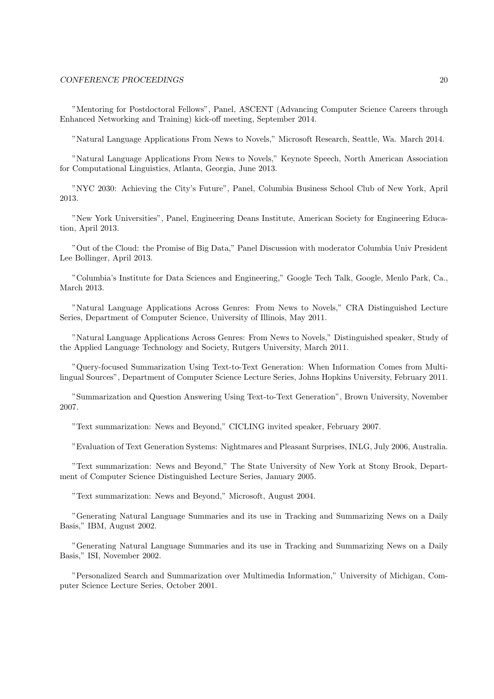"Mentoring for Postdoctoral Fellows", Panel, ASCENT (Advancing Computer Science Careers through Enhanced Networking and Training) kick-off meeting, September 2014.

"Natural Language Applications From News to Novels," Microsoft Research, Seattle, Wa. March 2014.

"Natural Language Applications From News to Novels," Keynote Speech, North American Association for Computational Linguistics, Atlanta, Georgia, June 2013.

"NYC 2030: Achieving the City's Future", Panel, Columbia Business School Club of New York, April 2013.

"New York Universities", Panel, Engineering Deans Institute, American Society for Engineering Education, April 2013.

"Out of the Cloud: the Promise of Big Data," Panel Discussion with moderator Columbia Univ President Lee Bollinger, April 2013.

"Columbia's Institute for Data Sciences and Engineering," Google Tech Talk, Google, Menlo Park, Ca., March 2013.

"Natural Language Applications Across Genres: From News to Novels," CRA Distinguished Lecture Series, Department of Computer Science, University of Illinois, May 2011.

"Natural Language Applications Across Genres: From News to Novels," Distinguished speaker, Study of the Applied Language Technology and Society, Rutgers University, March 2011.

"Query-focused Summarization Using Text-to-Text Generation: When Information Comes from Multilingual Sources", Department of Computer Science Lecture Series, Johns Hopkins University, February 2011.

"Summarization and Question Answering Using Text-to-Text Generation", Brown University, November 2007.

"Text summarization: News and Beyond," CICLING invited speaker, February 2007.

"Evaluation of Text Generation Systems: Nightmares and Pleasant Surprises, INLG, July 2006, Australia.

"Text summarization: News and Beyond," The State University of New York at Stony Brook, Department of Computer Science Distinguished Lecture Series, January 2005.

"Text summarization: News and Beyond," Microsoft, August 2004.

"Generating Natural Language Summaries and its use in Tracking and Summarizing News on a Daily Basis," IBM, August 2002.

"Generating Natural Language Summaries and its use in Tracking and Summarizing News on a Daily Basis," ISI, November 2002.

"Personalized Search and Summarization over Multimedia Information," University of Michigan, Computer Science Lecture Series, October 2001.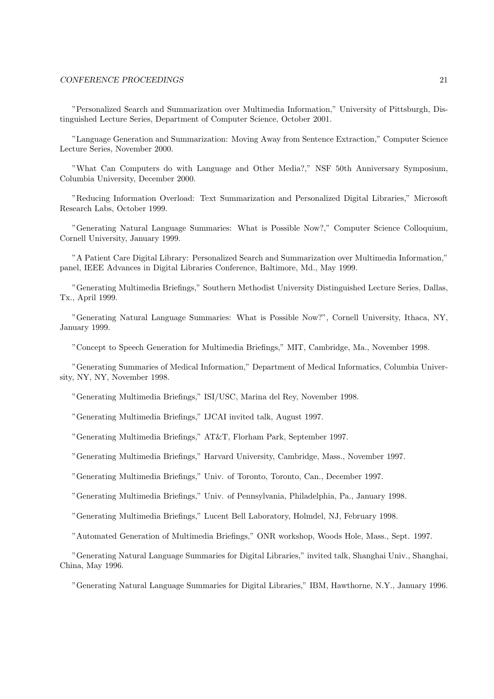"Personalized Search and Summarization over Multimedia Information," University of Pittsburgh, Distinguished Lecture Series, Department of Computer Science, October 2001.

"Language Generation and Summarization: Moving Away from Sentence Extraction," Computer Science Lecture Series, November 2000.

"What Can Computers do with Language and Other Media?," NSF 50th Anniversary Symposium, Columbia University, December 2000.

"Reducing Information Overload: Text Summarization and Personalized Digital Libraries," Microsoft Research Labs, October 1999.

"Generating Natural Language Summaries: What is Possible Now?," Computer Science Colloquium, Cornell University, January 1999.

"A Patient Care Digital Library: Personalized Search and Summarization over Multimedia Information," panel, IEEE Advances in Digital Libraries Conference, Baltimore, Md., May 1999.

"Generating Multimedia Briefings," Southern Methodist University Distinguished Lecture Series, Dallas, Tx., April 1999.

"Generating Natural Language Summaries: What is Possible Now?", Cornell University, Ithaca, NY, January 1999.

"Concept to Speech Generation for Multimedia Briefings," MIT, Cambridge, Ma., November 1998.

"Generating Summaries of Medical Information," Department of Medical Informatics, Columbia University, NY, NY, November 1998.

"Generating Multimedia Briefings," ISI/USC, Marina del Rey, November 1998.

"Generating Multimedia Briefings," IJCAI invited talk, August 1997.

"Generating Multimedia Briefings," AT&T, Florham Park, September 1997.

"Generating Multimedia Briefings," Harvard University, Cambridge, Mass., November 1997.

"Generating Multimedia Briefings," Univ. of Toronto, Toronto, Can., December 1997.

"Generating Multimedia Briefings," Univ. of Pennsylvania, Philadelphia, Pa., January 1998.

"Generating Multimedia Briefings," Lucent Bell Laboratory, Holmdel, NJ, February 1998.

"Automated Generation of Multimedia Briefings," ONR workshop, Woods Hole, Mass., Sept. 1997.

"Generating Natural Language Summaries for Digital Libraries," invited talk, Shanghai Univ., Shanghai, China, May 1996.

"Generating Natural Language Summaries for Digital Libraries," IBM, Hawthorne, N.Y., January 1996.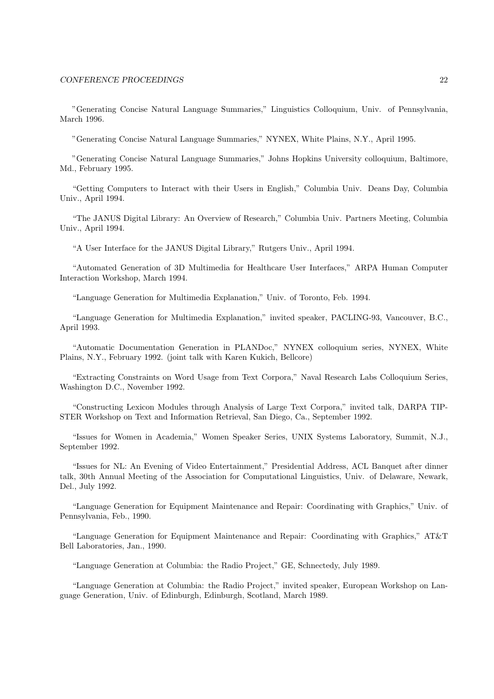"Generating Concise Natural Language Summaries," Linguistics Colloquium, Univ. of Pennsylvania, March 1996.

"Generating Concise Natural Language Summaries," NYNEX, White Plains, N.Y., April 1995.

"Generating Concise Natural Language Summaries," Johns Hopkins University colloquium, Baltimore, Md., February 1995.

"Getting Computers to Interact with their Users in English," Columbia Univ. Deans Day, Columbia Univ., April 1994.

"The JANUS Digital Library: An Overview of Research," Columbia Univ. Partners Meeting, Columbia Univ., April 1994.

"A User Interface for the JANUS Digital Library," Rutgers Univ., April 1994.

"Automated Generation of 3D Multimedia for Healthcare User Interfaces," ARPA Human Computer Interaction Workshop, March 1994.

"Language Generation for Multimedia Explanation," Univ. of Toronto, Feb. 1994.

"Language Generation for Multimedia Explanation," invited speaker, PACLING-93, Vancouver, B.C., April 1993.

"Automatic Documentation Generation in PLANDoc," NYNEX colloquium series, NYNEX, White Plains, N.Y., February 1992. (joint talk with Karen Kukich, Bellcore)

"Extracting Constraints on Word Usage from Text Corpora," Naval Research Labs Colloquium Series, Washington D.C., November 1992.

"Constructing Lexicon Modules through Analysis of Large Text Corpora," invited talk, DARPA TIP-STER Workshop on Text and Information Retrieval, San Diego, Ca., September 1992.

"Issues for Women in Academia," Women Speaker Series, UNIX Systems Laboratory, Summit, N.J., September 1992.

"Issues for NL: An Evening of Video Entertainment," Presidential Address, ACL Banquet after dinner talk, 30th Annual Meeting of the Association for Computational Linguistics, Univ. of Delaware, Newark, Del., July 1992.

"Language Generation for Equipment Maintenance and Repair: Coordinating with Graphics," Univ. of Pennsylvania, Feb., 1990.

"Language Generation for Equipment Maintenance and Repair: Coordinating with Graphics," AT&T Bell Laboratories, Jan., 1990.

"Language Generation at Columbia: the Radio Project," GE, Schnectedy, July 1989.

"Language Generation at Columbia: the Radio Project," invited speaker, European Workshop on Language Generation, Univ. of Edinburgh, Edinburgh, Scotland, March 1989.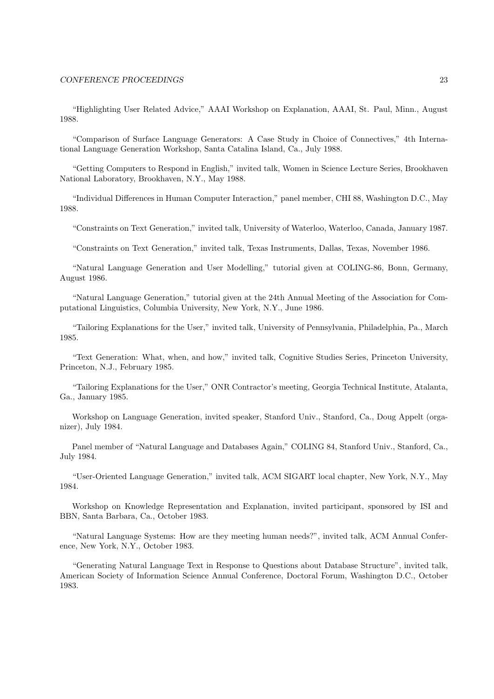"Highlighting User Related Advice," AAAI Workshop on Explanation, AAAI, St. Paul, Minn., August 1988.

"Comparison of Surface Language Generators: A Case Study in Choice of Connectives," 4th International Language Generation Workshop, Santa Catalina Island, Ca., July 1988.

"Getting Computers to Respond in English," invited talk, Women in Science Lecture Series, Brookhaven National Laboratory, Brookhaven, N.Y., May 1988.

"Individual Differences in Human Computer Interaction," panel member, CHI 88, Washington D.C., May 1988.

"Constraints on Text Generation," invited talk, University of Waterloo, Waterloo, Canada, January 1987.

"Constraints on Text Generation," invited talk, Texas Instruments, Dallas, Texas, November 1986.

"Natural Language Generation and User Modelling," tutorial given at COLING-86, Bonn, Germany, August 1986.

"Natural Language Generation," tutorial given at the 24th Annual Meeting of the Association for Computational Linguistics, Columbia University, New York, N.Y., June 1986.

"Tailoring Explanations for the User," invited talk, University of Pennsylvania, Philadelphia, Pa., March 1985.

"Text Generation: What, when, and how," invited talk, Cognitive Studies Series, Princeton University, Princeton, N.J., February 1985.

"Tailoring Explanations for the User," ONR Contractor's meeting, Georgia Technical Institute, Atalanta, Ga., January 1985.

Workshop on Language Generation, invited speaker, Stanford Univ., Stanford, Ca., Doug Appelt (organizer), July 1984.

Panel member of "Natural Language and Databases Again," COLING 84, Stanford Univ., Stanford, Ca., July 1984.

"User-Oriented Language Generation," invited talk, ACM SIGART local chapter, New York, N.Y., May 1984.

Workshop on Knowledge Representation and Explanation, invited participant, sponsored by ISI and BBN, Santa Barbara, Ca., October 1983.

"Natural Language Systems: How are they meeting human needs?", invited talk, ACM Annual Conference, New York, N.Y., October 1983.

"Generating Natural Language Text in Response to Questions about Database Structure", invited talk, American Society of Information Science Annual Conference, Doctoral Forum, Washington D.C., October 1983.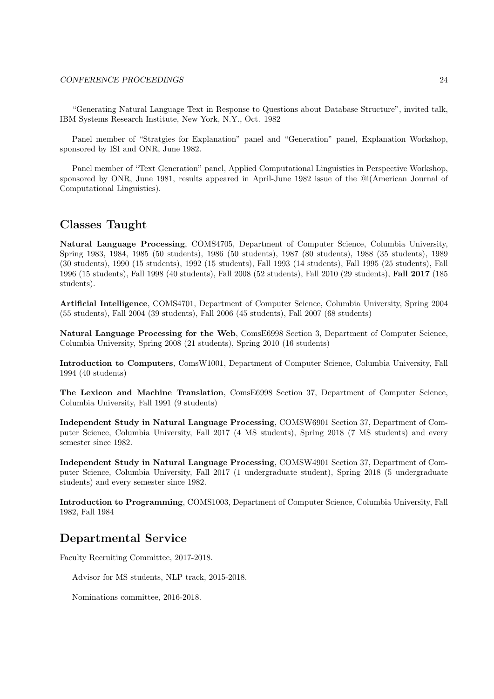"Generating Natural Language Text in Response to Questions about Database Structure", invited talk, IBM Systems Research Institute, New York, N.Y., Oct. 1982

Panel member of "Stratgies for Explanation" panel and "Generation" panel, Explanation Workshop, sponsored by ISI and ONR, June 1982.

Panel member of "Text Generation" panel, Applied Computational Linguistics in Perspective Workshop, sponsored by ONR, June 1981, results appeared in April-June 1982 issue of the @i(American Journal of Computational Linguistics).

## Classes Taught

Natural Language Processing, COMS4705, Department of Computer Science, Columbia University, Spring 1983, 1984, 1985 (50 students), 1986 (50 students), 1987 (80 students), 1988 (35 students), 1989 (30 students), 1990 (15 students), 1992 (15 students), Fall 1993 (14 students), Fall 1995 (25 students), Fall 1996 (15 students), Fall 1998 (40 students), Fall 2008 (52 students), Fall 2010 (29 students), Fall 2017 (185 students).

Artificial Intelligence, COMS4701, Department of Computer Science, Columbia University, Spring 2004 (55 students), Fall 2004 (39 students), Fall 2006 (45 students), Fall 2007 (68 students)

Natural Language Processing for the Web, ComsE6998 Section 3, Department of Computer Science, Columbia University, Spring 2008 (21 students), Spring 2010 (16 students)

Introduction to Computers, ComsW1001, Department of Computer Science, Columbia University, Fall 1994 (40 students)

The Lexicon and Machine Translation, ComsE6998 Section 37, Department of Computer Science, Columbia University, Fall 1991 (9 students)

Independent Study in Natural Language Processing, COMSW6901 Section 37, Department of Computer Science, Columbia University, Fall 2017 (4 MS students), Spring 2018 (7 MS students) and every semester since 1982.

Independent Study in Natural Language Processing, COMSW4901 Section 37, Department of Computer Science, Columbia University, Fall 2017 (1 undergraduate student), Spring 2018 (5 undergraduate students) and every semester since 1982.

Introduction to Programming, COMS1003, Department of Computer Science, Columbia University, Fall 1982, Fall 1984

## Departmental Service

Faculty Recruiting Committee, 2017-2018.

Advisor for MS students, NLP track, 2015-2018.

Nominations committee, 2016-2018.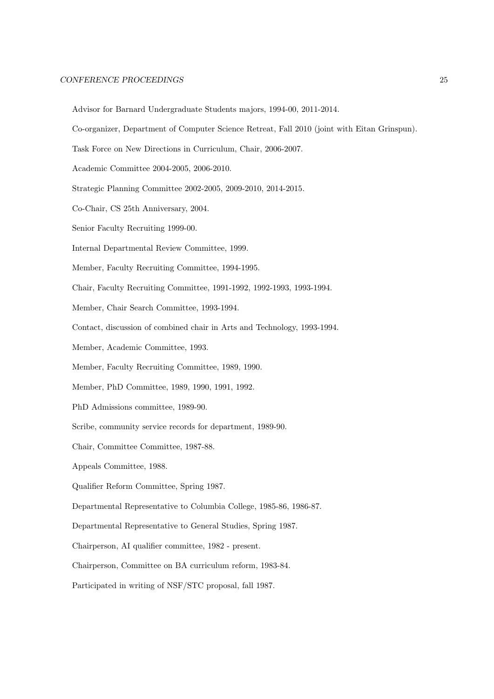- Advisor for Barnard Undergraduate Students majors, 1994-00, 2011-2014.
- Co-organizer, Department of Computer Science Retreat, Fall 2010 (joint with Eitan Grinspun).
- Task Force on New Directions in Curriculum, Chair, 2006-2007.
- Academic Committee 2004-2005, 2006-2010.
- Strategic Planning Committee 2002-2005, 2009-2010, 2014-2015.
- Co-Chair, CS 25th Anniversary, 2004.
- Senior Faculty Recruiting 1999-00.
- Internal Departmental Review Committee, 1999.
- Member, Faculty Recruiting Committee, 1994-1995.
- Chair, Faculty Recruiting Committee, 1991-1992, 1992-1993, 1993-1994.
- Member, Chair Search Committee, 1993-1994.
- Contact, discussion of combined chair in Arts and Technology, 1993-1994.
- Member, Academic Committee, 1993.
- Member, Faculty Recruiting Committee, 1989, 1990.
- Member, PhD Committee, 1989, 1990, 1991, 1992.
- PhD Admissions committee, 1989-90.
- Scribe, community service records for department, 1989-90.
- Chair, Committee Committee, 1987-88.
- Appeals Committee, 1988.
- Qualifier Reform Committee, Spring 1987.
- Departmental Representative to Columbia College, 1985-86, 1986-87.
- Departmental Representative to General Studies, Spring 1987.
- Chairperson, AI qualifier committee, 1982 present.
- Chairperson, Committee on BA curriculum reform, 1983-84.
- Participated in writing of NSF/STC proposal, fall 1987.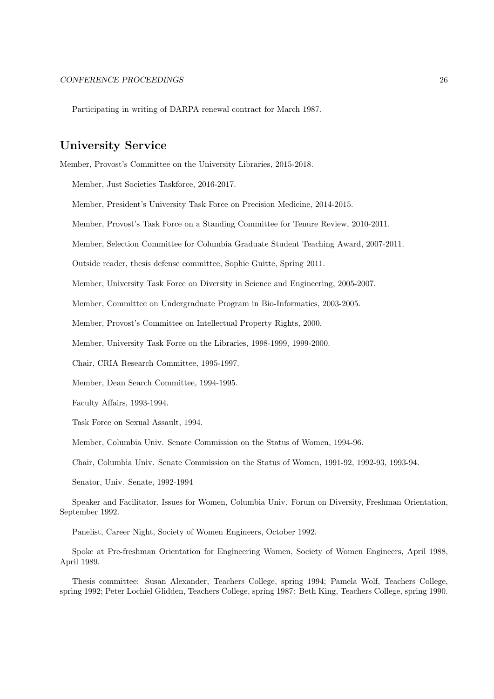Participating in writing of DARPA renewal contract for March 1987.

## University Service

Member, Provost's Committee on the University Libraries, 2015-2018.

Member, Just Societies Taskforce, 2016-2017.

Member, President's University Task Force on Precision Medicine, 2014-2015.

Member, Provost's Task Force on a Standing Committee for Tenure Review, 2010-2011.

Member, Selection Committee for Columbia Graduate Student Teaching Award, 2007-2011.

Outside reader, thesis defense committee, Sophie Guitte, Spring 2011.

Member, University Task Force on Diversity in Science and Engineering, 2005-2007.

Member, Committee on Undergraduate Program in Bio-Informatics, 2003-2005.

Member, Provost's Committee on Intellectual Property Rights, 2000.

Member, University Task Force on the Libraries, 1998-1999, 1999-2000.

Chair, CRIA Research Committee, 1995-1997.

Member, Dean Search Committee, 1994-1995.

Faculty Affairs, 1993-1994.

Task Force on Sexual Assault, 1994.

Member, Columbia Univ. Senate Commission on the Status of Women, 1994-96.

Chair, Columbia Univ. Senate Commission on the Status of Women, 1991-92, 1992-93, 1993-94.

Senator, Univ. Senate, 1992-1994

Speaker and Facilitator, Issues for Women, Columbia Univ. Forum on Diversity, Freshman Orientation, September 1992.

Panelist, Career Night, Society of Women Engineers, October 1992.

Spoke at Pre-freshman Orientation for Engineering Women, Society of Women Engineers, April 1988, April 1989.

Thesis committee: Susan Alexander, Teachers College, spring 1994; Pamela Wolf, Teachers College, spring 1992; Peter Lochiel Glidden, Teachers College, spring 1987: Beth King, Teachers College, spring 1990.